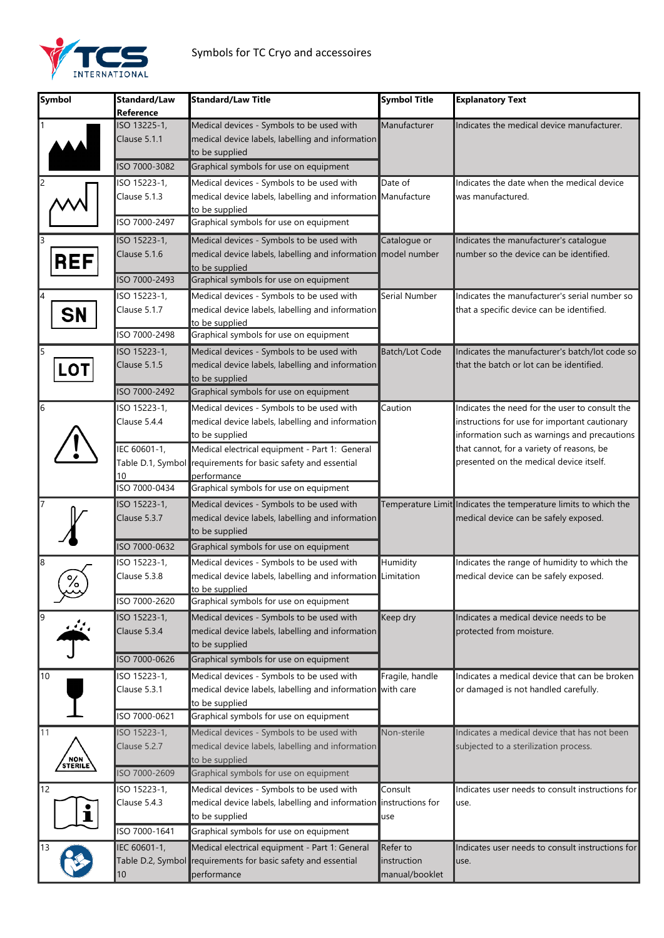

| Symbol                   | Standard/Law<br>Reference                                           | <b>Standard/Law Title</b>                                                                                                                                                                                                                                                                   | <b>Symbol Title</b>                       | <b>Explanatory Text</b>                                                                                                                                                                                                                 |
|--------------------------|---------------------------------------------------------------------|---------------------------------------------------------------------------------------------------------------------------------------------------------------------------------------------------------------------------------------------------------------------------------------------|-------------------------------------------|-----------------------------------------------------------------------------------------------------------------------------------------------------------------------------------------------------------------------------------------|
|                          | ISO 13225-1,<br>Clause 5.1.1<br>ISO 7000-3082                       | Medical devices - Symbols to be used with<br>medical device labels, labelling and information<br>to be supplied<br>Graphical symbols for use on equipment                                                                                                                                   | Manufacturer                              | Indicates the medical device manufacturer.                                                                                                                                                                                              |
|                          | ISO 15223-1,<br>Clause 5.1.3                                        | Medical devices - Symbols to be used with<br>medical device labels, labelling and information Manufacture<br>to be supplied                                                                                                                                                                 | Date of                                   | Indicates the date when the medical device<br>was manufactured.                                                                                                                                                                         |
|                          | SO 7000-2497<br>ISO 15223-1,                                        | Graphical symbols for use on equipment<br>Medical devices - Symbols to be used with                                                                                                                                                                                                         | Catalogue or                              | Indicates the manufacturer's catalogue                                                                                                                                                                                                  |
| <b>REF</b>               | Clause 5.1.6<br>ISO 7000-2493                                       | medical device labels, labelling and information model number<br>to be supplied<br>Graphical symbols for use on equipment                                                                                                                                                                   |                                           | number so the device can be identified.                                                                                                                                                                                                 |
| <b>SN</b>                | ISO 15223-1,<br>Clause 5.1.7<br>ISO 7000-2498                       | Medical devices - Symbols to be used with<br>medical device labels, labelling and information<br>to be supplied<br>Graphical symbols for use on equipment                                                                                                                                   | Serial Number                             | Indicates the manufacturer's serial number so<br>that a specific device can be identified.                                                                                                                                              |
| <b>LOT</b>               | ISO 15223-1,<br>Clause 5.1.5<br>ISO 7000-2492                       | Medical devices - Symbols to be used with<br>medical device labels, labelling and information<br>to be supplied<br>Graphical symbols for use on equipment                                                                                                                                   | <b>Batch/Lot Code</b>                     | Indicates the manufacturer's batch/lot code so<br>that the batch or lot can be identified.                                                                                                                                              |
| 6                        | ISO 15223-1,<br>Clause 5.4.4<br>IEC 60601-1,<br>10<br>ISO 7000-0434 | Medical devices - Symbols to be used with<br>medical device labels, labelling and information<br>to be supplied<br>Medical electrical equipment - Part 1: General<br>Table D.1, Symbol requirements for basic safety and essential<br>performance<br>Graphical symbols for use on equipment | Caution                                   | Indicates the need for the user to consult the<br>instructions for use for important cautionary<br>information such as warnings and precautions<br>that cannot, for a variety of reasons, be<br>presented on the medical device itself. |
|                          | ISO 15223-1,<br>Clause 5.3.7<br>ISO 7000-0632                       | Medical devices - Symbols to be used with<br>medical device labels, labelling and information<br>to be supplied<br>Graphical symbols for use on equipment                                                                                                                                   |                                           | Temperature Limit Indicates the temperature limits to which the<br>medical device can be safely exposed.                                                                                                                                |
| 18<br>۰,<br>∕o           | ISO 15223-1,<br>Clause 5.3.8<br>ISO 7000-2620                       | Medical devices - Symbols to be used with<br>medical device labels, labelling and information Limitation<br>to be supplied<br>Graphical symbols for use on equipment                                                                                                                        | Humidity                                  | Indicates the range of humidity to which the<br>medical device can be safely exposed.                                                                                                                                                   |
| 9<br>$\mathbf{r}$        | ISO 15223-1,<br>Clause 5.3.4<br>ISO 7000-0626                       | Medical devices - Symbols to be used with<br>medical device labels, labelling and information<br>to be supplied<br>Graphical symbols for use on equipment                                                                                                                                   | Keep dry                                  | Indicates a medical device needs to be<br>protected from moisture.                                                                                                                                                                      |
| 10                       | ISO 15223-1,<br>Clause 5.3.1<br>ISO 7000-0621                       | Medical devices - Symbols to be used with<br>medical device labels, labelling and information with care<br>to be supplied<br>Graphical symbols for use on equipment                                                                                                                         | Fragile, handle                           | Indicates a medical device that can be broken<br>or damaged is not handled carefully.                                                                                                                                                   |
| 11<br>/ NON \<br>STERILE | ISO 15223-1,<br>Clause 5.2.7<br>ISO 7000-2609                       | Medical devices - Symbols to be used with<br>medical device labels, labelling and information<br>to be supplied<br>Graphical symbols for use on equipment                                                                                                                                   | Non-sterile                               | Indicates a medical device that has not been<br>subjected to a sterilization process.                                                                                                                                                   |
| 12<br>$\mathbf i$        | ISO 15223-1,<br>Clause 5.4.3<br>ISO 7000-1641                       | Medical devices - Symbols to be used with<br>medical device labels, labelling and information instructions for<br>to be supplied<br>Graphical symbols for use on equipment                                                                                                                  | Consult<br>use                            | Indicates user needs to consult instructions for<br>use.                                                                                                                                                                                |
|                          | IEC 60601-1,<br>10                                                  | Medical electrical equipment - Part 1: General<br>Table D.2, Symbol requirements for basic safety and essential<br>performance                                                                                                                                                              | Refer to<br>instruction<br>manual/booklet | Indicates user needs to consult instructions for<br>use.                                                                                                                                                                                |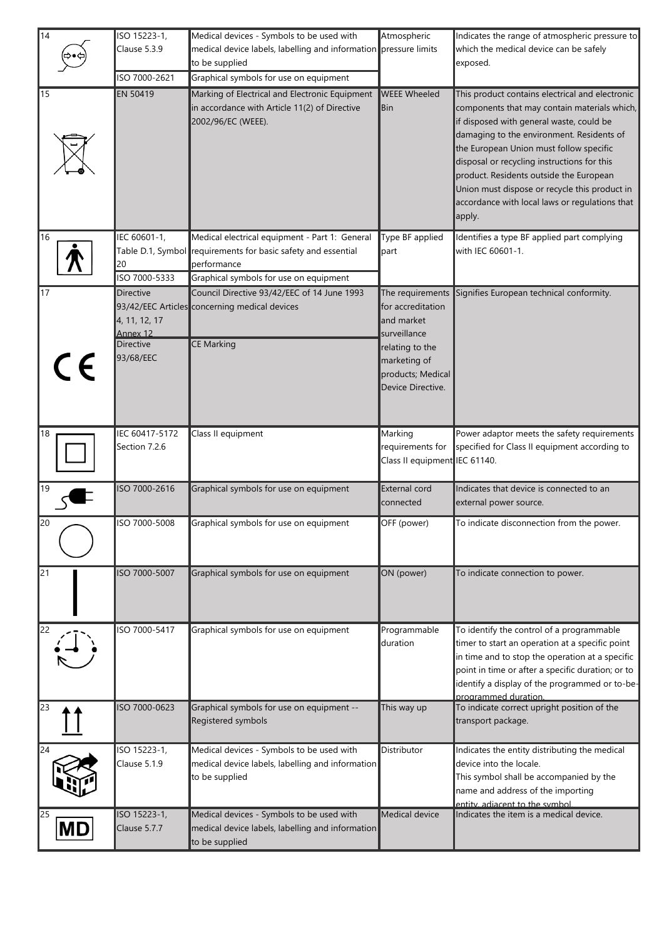| 14                    | ISO 15223-1,<br>Clause 5.3.9<br>ISO 7000-2621                           | Medical devices - Symbols to be used with<br>medical device labels, labelling and information pressure limits<br>to be supplied<br>Graphical symbols for use on equipment | Atmospheric                                                                                                                                      | Indicates the range of atmospheric pressure to<br>which the medical device can be safely<br>exposed.                                                                                                                                                                                                                                                                                                                                       |
|-----------------------|-------------------------------------------------------------------------|---------------------------------------------------------------------------------------------------------------------------------------------------------------------------|--------------------------------------------------------------------------------------------------------------------------------------------------|--------------------------------------------------------------------------------------------------------------------------------------------------------------------------------------------------------------------------------------------------------------------------------------------------------------------------------------------------------------------------------------------------------------------------------------------|
| 15                    | <b>EN 50419</b>                                                         | Marking of Electrical and Electronic Equipment<br>in accordance with Article 11(2) of Directive<br>2002/96/EC (WEEE).                                                     | <b>WEEE Wheeled</b><br>Bin                                                                                                                       | This product contains electrical and electronic<br>components that may contain materials which,<br>if disposed with general waste, could be<br>damaging to the environment. Residents of<br>the European Union must follow specific<br>disposal or recycling instructions for this<br>product. Residents outside the European<br>Union must dispose or recycle this product in<br>accordance with local laws or regulations that<br>apply. |
| 16                    | IEC 60601-1,<br>20<br>ISO 7000-5333                                     | Medical electrical equipment - Part 1: General<br>Table D.1, Symbol requirements for basic safety and essential<br>performance<br>Graphical symbols for use on equipment  | Type BF applied<br>part                                                                                                                          | Identifies a type BF applied part complying<br>with IEC 60601-1.                                                                                                                                                                                                                                                                                                                                                                           |
| $\overline{17}$<br>CE | Directive<br>4, 11, 12, 17<br>Annex 12<br><b>Directive</b><br>93/68/EEC | Council Directive 93/42/EEC of 14 June 1993<br>93/42/EEC Articles concerning medical devices<br><b>CE Marking</b>                                                         | The requirements<br>for accreditation<br>and market<br>surveillance<br>relating to the<br>marketing of<br>products; Medical<br>Device Directive. | Signifies European technical conformity.                                                                                                                                                                                                                                                                                                                                                                                                   |
| 18                    | IEC 60417-5172<br>Section 7.2.6                                         | Class II equipment                                                                                                                                                        | Marking<br>requirements for<br>Class II equipment IEC 61140.                                                                                     | Power adaptor meets the safety requirements<br>specified for Class II equipment according to                                                                                                                                                                                                                                                                                                                                               |
| 19                    | ISO 7000-2616                                                           | Graphical symbols for use on equipment                                                                                                                                    | <b>External cord</b><br>connected                                                                                                                | Indicates that device is connected to an<br>external power source.                                                                                                                                                                                                                                                                                                                                                                         |
| 20                    | ISO 7000-5008                                                           | Graphical symbols for use on equipment                                                                                                                                    | OFF (power)                                                                                                                                      | To indicate disconnection from the power.                                                                                                                                                                                                                                                                                                                                                                                                  |
| 21                    | ISO 7000-5007                                                           | Graphical symbols for use on equipment                                                                                                                                    | ON (power)                                                                                                                                       | To indicate connection to power.                                                                                                                                                                                                                                                                                                                                                                                                           |
| 22                    | ISO 7000-5417                                                           | Graphical symbols for use on equipment                                                                                                                                    | Programmable<br><b>I</b> duration                                                                                                                | To identify the control of a programmable<br>timer to start an operation at a specific point<br>in time and to stop the operation at a specific<br>point in time or after a specific duration; or to<br>identify a display of the programmed or to-be-<br>programmed duration                                                                                                                                                              |
| 23                    | ISO 7000-0623                                                           | Graphical symbols for use on equipment --<br>Registered symbols                                                                                                           | This way up                                                                                                                                      | To indicate correct upright position of the<br>transport package.                                                                                                                                                                                                                                                                                                                                                                          |
| 24                    | ISO 15223-1,<br>Clause 5.1.9                                            | Medical devices - Symbols to be used with<br>medical device labels, labelling and information<br>to be supplied                                                           | Distributor                                                                                                                                      | Indicates the entity distributing the medical<br>device into the locale.<br>This symbol shall be accompanied by the<br>name and address of the importing<br>entity, adiacent to the symbol.                                                                                                                                                                                                                                                |
| 25<br>IMD             | ISO 15223-1,<br>Clause 5.7.7                                            | Medical devices - Symbols to be used with<br>medical device labels, labelling and information<br>to be supplied                                                           | Medical device                                                                                                                                   | Indicates the item is a medical device.                                                                                                                                                                                                                                                                                                                                                                                                    |